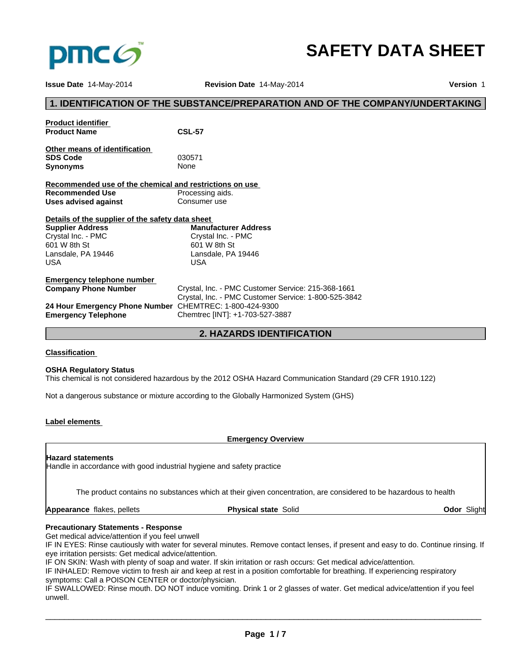

# **SAFETY DATA SHEET**

**Issue Date** 14-May-2014 **Revision Date** 14-May-2014 **Version** 1

# **1. IDENTIFICATION OF THE SUBSTANCE/PREPARATION AND OF THE COMPANY/UNDERTAKING Product identifier Product Name CSL-57 Other means of identification SDS Code** 030571 **Synonyms** None **Recommended use of the chemical and restrictions on use Recommended Use** Processing aids.<br> **Uses advised against** Consumer use **Uses advised against Details of the supplier of the safety data sheet Emergency telephone number**  Crystal, Inc. - PMC Customer Service: 215-368-1661 Crystal, Inc. - PMC Customer Service: 1-800-525-3842 **24 Hour Emergency Phone Number** CHEMTREC: 1-800-424-9300 **Emergency Telephone** Chemtrec [INT]: +1-703-527-3887 **2. HAZARDS IDENTIFICATION Supplier Address** Crystal Inc. - PMC 601 W 8th St Lansdale, PA 19446 USA **Manufacturer Address** Crystal Inc. - PMC 601 W 8th St Lansdale, PA 19446 USA

# **Classification**

# **OSHA Regulatory Status**

This chemical is not considered hazardous by the 2012 OSHA Hazard Communication Standard (29 CFR 1910.122)

Not a dangerous substance or mixture according to the Globally Harmonized System (GHS)

# **Label elements**

**Emergency Overview**

# **Hazard statements**

Handle in accordance with good industrial hygiene and safety practice

The product contains no substances which at their given concentration, are considered to be hazardous to health

**Appearance** flakes, pellets

**Physical state** Solid **Odor** Slight

# **Precautionary Statements - Response**

Get medical advice/attention if you feel unwell

IF IN EYES: Rinse cautiously with water for several minutes. Remove contact lenses, if present and easy to do. Continue rinsing. If eye irritation persists: Get medical advice/attention.

IF ON SKIN: Wash with plenty of soap and water. If skin irritation or rash occurs: Get medical advice/attention.

IF INHALED: Remove victim to fresh air and keep at rest in a position comfortable for breathing. If experiencing respiratory symptoms: Call a POISON CENTER or doctor/physician.

IF SWALLOWED: Rinse mouth. DO NOT induce vomiting. Drink 1 or 2 glasses of water. Get medical advice/attention if you feel unwell.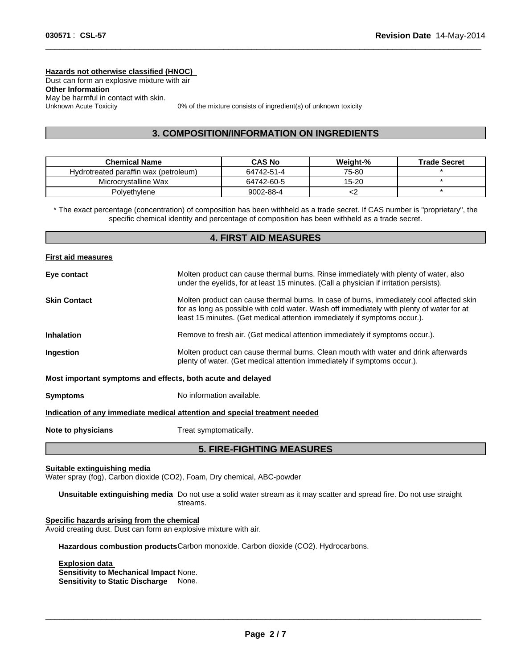**Hazards not otherwise classified (HNOC)**  Dust can form an explosive mixture with air **Other Information**  May be harmful in contact with skin.<br>Unknown Acute Toxicity

0% of the mixture consists of ingredient(s) of unknown toxicity

 $\overline{\phantom{a}}$  ,  $\overline{\phantom{a}}$  ,  $\overline{\phantom{a}}$  ,  $\overline{\phantom{a}}$  ,  $\overline{\phantom{a}}$  ,  $\overline{\phantom{a}}$  ,  $\overline{\phantom{a}}$  ,  $\overline{\phantom{a}}$  ,  $\overline{\phantom{a}}$  ,  $\overline{\phantom{a}}$  ,  $\overline{\phantom{a}}$  ,  $\overline{\phantom{a}}$  ,  $\overline{\phantom{a}}$  ,  $\overline{\phantom{a}}$  ,  $\overline{\phantom{a}}$  ,  $\overline{\phantom{a}}$ 

# **3. COMPOSITION/INFORMATION ON INGREDIENTS**

| <b>Chemical Name</b>                  | <b>CAS No</b> | Weiaht-%  | <b>Trade Secret</b> |
|---------------------------------------|---------------|-----------|---------------------|
| Hydrotreated paraffin wax (petroleum) | 64742-51-4    | 75-80     |                     |
| Microcrystalline Wax                  | 64742-60-5    | $15 - 20$ |                     |
| Polyethylene                          | 9002-88-4     |           |                     |

\* The exact percentage (concentration) of composition has been withheld as a trade secret. If CAS number is "proprietary", the specific chemical identity and percentage of composition has been withheld as a trade secret.

# **4. FIRST AID MEASURES First aid measures Eye contact** Molten product can cause thermal burns. Rinse immediately with plenty of water, also under the eyelids, for at least 15 minutes. (Call a physician if irritation persists). **Skin Contact** Molten product can cause thermal burns. In case of burns, immediately cool affected skin for as long as possible with cold water. Wash off immediately with plenty of water for at least 15 minutes. (Get medical attention immediately if symptoms occur.). **Inhalation** Remove to fresh air. (Get medical attention immediately if symptoms occur.). **Ingestion** Molten product can cause thermal burns. Clean mouth with water and drink afterwards plenty of water. (Get medical attention immediately if symptoms occur.). **Most important symptoms and effects, both acute and delayed Symptoms** No information available. **Indication of any immediate medical attention and special treatment needed Note to physicians** Treat symptomatically. **5. FIRE-FIGHTING MEASURES**

**Suitable extinguishing media**

Water spray (fog), Carbon dioxide (CO2), Foam, Dry chemical, ABC-powder

**Unsuitable extinguishing media** Do not use a solid water stream as it may scatter and spread fire. Do not use straight streams.

#### **Specific hazards arising from the chemical**

Avoid creating dust. Dust can form an explosive mixture with air.

**Hazardous combustion products**Carbon monoxide. Carbon dioxide (CO2). Hydrocarbons.

**Explosion data** \_\_\_\_\_\_\_\_\_\_\_\_\_\_\_\_\_\_\_\_\_\_\_\_\_\_\_\_\_\_\_\_\_\_\_\_\_\_\_\_\_\_\_\_\_\_\_\_\_\_\_\_\_\_\_\_\_\_\_\_\_\_\_\_\_\_\_\_\_\_\_\_\_\_\_\_\_\_\_\_\_\_\_\_\_\_\_\_\_\_\_\_\_ **Sensitivity to Mechanical Impact** None. **Sensitivity to Static Discharge** None.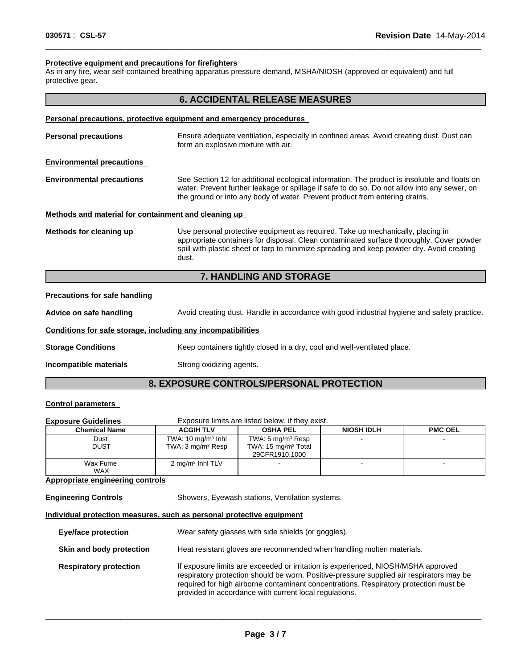# **Protective equipment and precautions for firefighters**

As in any fire, wear self-contained breathing apparatus pressure-demand, MSHA/NIOSH (approved or equivalent) and full protective gear.

# **6. ACCIDENTAL RELEASE MEASURES**

 $\overline{\phantom{a}}$  ,  $\overline{\phantom{a}}$  ,  $\overline{\phantom{a}}$  ,  $\overline{\phantom{a}}$  ,  $\overline{\phantom{a}}$  ,  $\overline{\phantom{a}}$  ,  $\overline{\phantom{a}}$  ,  $\overline{\phantom{a}}$  ,  $\overline{\phantom{a}}$  ,  $\overline{\phantom{a}}$  ,  $\overline{\phantom{a}}$  ,  $\overline{\phantom{a}}$  ,  $\overline{\phantom{a}}$  ,  $\overline{\phantom{a}}$  ,  $\overline{\phantom{a}}$  ,  $\overline{\phantom{a}}$ 

#### **Personal precautions, protective equipment and emergency procedures**

| <b>Personal precautions</b>                          | Ensure adequate ventilation, especially in confined areas. Avoid creating dust. Dust can<br>form an explosive mixture with air.                                                                                                                                                    |
|------------------------------------------------------|------------------------------------------------------------------------------------------------------------------------------------------------------------------------------------------------------------------------------------------------------------------------------------|
| <b>Environmental precautions</b>                     |                                                                                                                                                                                                                                                                                    |
| <b>Environmental precautions</b>                     | See Section 12 for additional ecological information. The product is insoluble and floats on<br>water. Prevent further leakage or spillage if safe to do so. Do not allow into any sewer, on<br>the ground or into any body of water. Prevent product from entering drains.        |
| Methods and material for containment and cleaning up |                                                                                                                                                                                                                                                                                    |
| Methods for cleaning up                              | Use personal protective equipment as required. Take up mechanically, placing in<br>appropriate containers for disposal. Clean contaminated surface thoroughly. Cover powder<br>spill with plastic sheet or tarp to minimize spreading and keep powder dry. Avoid creating<br>dust. |

# **7. HANDLING AND STORAGE**

### **Precautions for safe handling**

Advice on safe handling **Avoid creating dust. Handle in accordance with good industrial hygiene and safety practice. Conditions for safe storage, including any incompatibilities Storage Conditions** Keep containers tightly closed in a dry, cool and well-ventilated place. **Incompatible materials** Strong oxidizing agents.

# **8. EXPOSURE CONTROLS/PERSONAL PROTECTION**

# **Control parameters**

| <b>Exposure Guidelines</b> | Exposure limits are listed below, if they exist.                |                                                                                    |                   |                          |
|----------------------------|-----------------------------------------------------------------|------------------------------------------------------------------------------------|-------------------|--------------------------|
| <b>Chemical Name</b>       | <b>ACGIH TLV</b>                                                | <b>OSHA PEL</b>                                                                    | <b>NIOSH IDLH</b> | <b>PMC OEL</b>           |
| Dust<br><b>DUST</b>        | TWA: 10 mg/m <sup>3</sup> Inhl<br>TWA: 3 mg/m <sup>3</sup> Resp | TWA: 5 mg/m <sup>3</sup> Resp<br>TWA: 15 mg/m <sup>3</sup> Total<br>29CFR1910.1000 |                   |                          |
| Wax Fume<br><b>WAX</b>     | $2 \text{ mg/m}^3$ lnhl TLV                                     |                                                                                    |                   | $\overline{\phantom{0}}$ |

# **Appropriate engineering controls**

**Engineering Controls** Showers, Eyewash stations, Ventilation systems.

**Individual protection measures, such as personal protective equipment**

| <b>Eye/face protection</b>    | Wear safety glasses with side shields (or goggles).                                                                                                                                                                                                                                                                              |
|-------------------------------|----------------------------------------------------------------------------------------------------------------------------------------------------------------------------------------------------------------------------------------------------------------------------------------------------------------------------------|
| Skin and body protection      | Heat resistant gloves are recommended when handling molten materials.                                                                                                                                                                                                                                                            |
| <b>Respiratory protection</b> | If exposure limits are exceeded or irritation is experienced, NIOSH/MSHA approved<br>respiratory protection should be worn. Positive-pressure supplied air respirators may be<br>required for high airborne contaminant concentrations. Respiratory protection must be<br>provided in accordance with current local regulations. |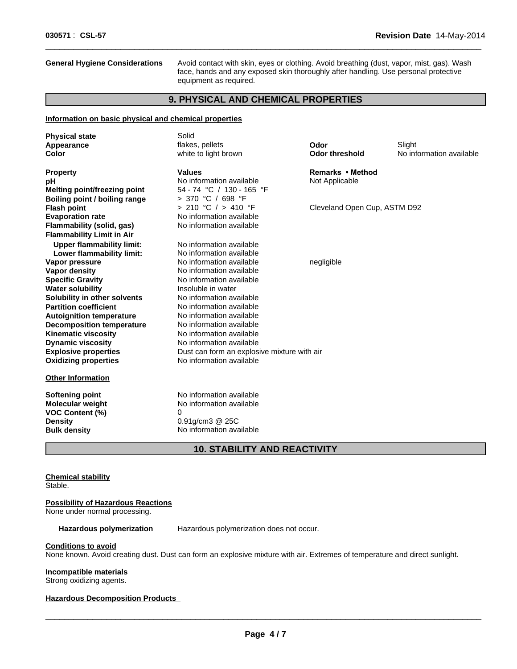**General Hygiene Considerations** Avoid contact with skin, eyes or clothing. Avoid breathing (dust, vapor, mist, gas). Wash face, hands and any exposed skin thoroughly after handling. Use personal protective equipment as required.

 $\overline{\phantom{a}}$  ,  $\overline{\phantom{a}}$  ,  $\overline{\phantom{a}}$  ,  $\overline{\phantom{a}}$  ,  $\overline{\phantom{a}}$  ,  $\overline{\phantom{a}}$  ,  $\overline{\phantom{a}}$  ,  $\overline{\phantom{a}}$  ,  $\overline{\phantom{a}}$  ,  $\overline{\phantom{a}}$  ,  $\overline{\phantom{a}}$  ,  $\overline{\phantom{a}}$  ,  $\overline{\phantom{a}}$  ,  $\overline{\phantom{a}}$  ,  $\overline{\phantom{a}}$  ,  $\overline{\phantom{a}}$ 

# **9. PHYSICAL AND CHEMICAL PROPERTIES**

#### **Information on basic physical and chemical properties**

| <b>Physical state</b><br>Appearance<br>Color                                                                                                                                                  | Solid<br>flakes, pellets<br>white to light brown                                                                                                                     | Odor<br><b>Odor threshold</b>      | Slight<br>No information available |
|-----------------------------------------------------------------------------------------------------------------------------------------------------------------------------------------------|----------------------------------------------------------------------------------------------------------------------------------------------------------------------|------------------------------------|------------------------------------|
| <b>Property</b><br>рH<br><b>Melting point/freezing point</b><br>Boiling point / boiling range                                                                                                 | <b>Values</b><br>No information available<br>54 - 74 °C / 130 - 165 °F<br>> 370 °C / 698 °F                                                                          | Remarks • Method<br>Not Applicable |                                    |
| <b>Flash point</b><br><b>Evaporation rate</b><br>Flammability (solid, gas)<br><b>Flammability Limit in Air</b>                                                                                | > 210 °C / > 410 °F<br>No information available<br>No information available                                                                                          | Cleveland Open Cup, ASTM D92       |                                    |
| <b>Upper flammability limit:</b><br>Lower flammability limit:<br>Vapor pressure<br><b>Vapor density</b><br><b>Specific Gravity</b><br><b>Water solubility</b>                                 | No information available<br>No information available<br>No information available<br>No information available<br>No information available<br>Insoluble in water       | negligible                         |                                    |
| Solubility in other solvents<br><b>Partition coefficient</b><br><b>Autoignition temperature</b><br><b>Decomposition temperature</b><br><b>Kinematic viscosity</b><br><b>Dynamic viscosity</b> | No information available<br>No information available<br>No information available<br>No information available<br>No information available<br>No information available |                                    |                                    |
| <b>Explosive properties</b><br><b>Oxidizing properties</b><br><b>Other Information</b>                                                                                                        | Dust can form an explosive mixture with air<br>No information available                                                                                              |                                    |                                    |
| Softening point<br><b>Molecular weight</b><br>VOC Content (%)<br><b>Density</b><br><b>Bulk density</b>                                                                                        | No information available<br>No information available<br>0<br>$0.91$ g/cm $3$ @ 25C<br>No information available                                                       |                                    |                                    |

# **10. STABILITY AND REACTIVITY**

**Chemical stability** Stable.

# **Possibility of Hazardous Reactions**

None under normal processing.

Hazardous polymerization Hazardous polymerization does not occur.

#### **Conditions to avoid**

None known. Avoid creating dust. Dust can form an explosive mixture with air. Extremes of temperature and direct sunlight.

# **Incompatible materials**

Strong oxidizing agents.

# **Hazardous Decomposition Products**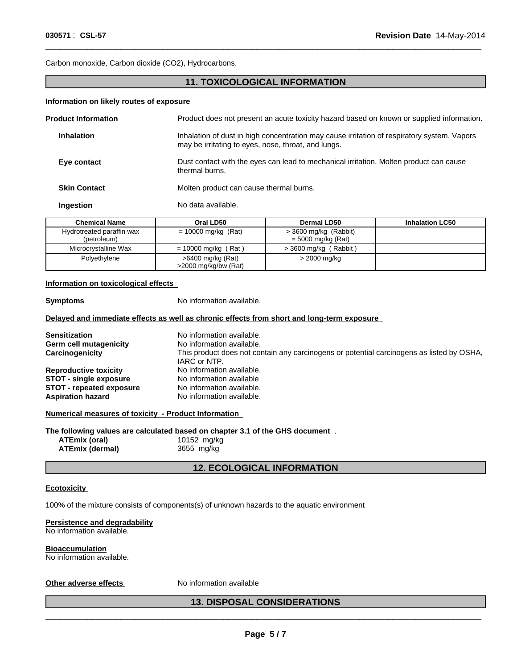Carbon monoxide, Carbon dioxide (CO2), Hydrocarbons.

# **11. TOXICOLOGICAL INFORMATION**

 $\overline{\phantom{a}}$  ,  $\overline{\phantom{a}}$  ,  $\overline{\phantom{a}}$  ,  $\overline{\phantom{a}}$  ,  $\overline{\phantom{a}}$  ,  $\overline{\phantom{a}}$  ,  $\overline{\phantom{a}}$  ,  $\overline{\phantom{a}}$  ,  $\overline{\phantom{a}}$  ,  $\overline{\phantom{a}}$  ,  $\overline{\phantom{a}}$  ,  $\overline{\phantom{a}}$  ,  $\overline{\phantom{a}}$  ,  $\overline{\phantom{a}}$  ,  $\overline{\phantom{a}}$  ,  $\overline{\phantom{a}}$ 

# **Information on likely routes of exposure**

| <b>Chemical Name</b>       | Oral LD50          | Dermal LD50                                                                                                                                        | <b>Inhalation LC50</b> |  |
|----------------------------|--------------------|----------------------------------------------------------------------------------------------------------------------------------------------------|------------------------|--|
| <b>Ingestion</b>           | No data available. |                                                                                                                                                    |                        |  |
| <b>Skin Contact</b>        |                    | Molten product can cause thermal burns.                                                                                                            |                        |  |
| Eye contact                | thermal burns.     | Dust contact with the eyes can lead to mechanical irritation. Molten product can cause                                                             |                        |  |
| Inhalation                 |                    | Inhalation of dust in high concentration may cause irritation of respiratory system. Vapors<br>may be irritating to eyes, nose, throat, and lungs. |                        |  |
| <b>Product Information</b> |                    | Product does not present an acute toxicity hazard based on known or supplied information.                                                          |                        |  |
|                            |                    |                                                                                                                                                    |                        |  |

| Gilennual Name            | UI AI LUJU              | Dermal LD30                  | <b>INIMANON LUJU</b> |
|---------------------------|-------------------------|------------------------------|----------------------|
| Hydrotreated paraffin wax | = 10000 mg/kg (Rat)     | $>$ 3600 mg/kg (Rabbit)      |                      |
| (petroleum)               |                         | $=$ 5000 mg/kg (Rat)         |                      |
| Microcrystalline Wax      | $= 10000$ mg/kg (Rat)   | (Rabbit)<br>$> 3600$ mg/kg ( |                      |
| Polyethylene              | $>6400$ mg/kg (Rat)     | > 2000 mg/kg                 |                      |
|                           | $>$ 2000 mg/kg/bw (Rat) |                              |                      |

# **Information on toxicological effects**

| <b>Symptoms</b>                                      | No information available.                                                                                 |
|------------------------------------------------------|-----------------------------------------------------------------------------------------------------------|
|                                                      | Delayed and immediate effects as well as chronic effects from short and long-term exposure                |
| <b>Sensitization</b>                                 | No information available.                                                                                 |
| Germ cell mutagenicity                               | No information available.                                                                                 |
| Carcinogenicity                                      | This product does not contain any carcinogens or potential carcinogens as listed by OSHA,<br>IARC or NTP. |
| <b>Reproductive toxicity</b>                         | No information available.                                                                                 |
| <b>STOT - single exposure</b>                        | No information available                                                                                  |
| <b>STOT</b> - repeated exposure                      | No information available.                                                                                 |
| <b>Aspiration hazard</b>                             | No information available.                                                                                 |
| Numerical measures of toxicity - Product Information |                                                                                                           |
|                                                      | The following values are calculated based on chapter 3.1 of the GHS document.                             |
| ATEmix (oral)                                        | 10152 mg/kg                                                                                               |
| <b>ATEmix (dermal)</b>                               | 3655 mg/kg                                                                                                |
|                                                      |                                                                                                           |

# **12. ECOLOGICAL INFORMATION**

# **Ecotoxicity**

100% of the mixture consists of components(s) of unknown hazards to the aquatic environment

# **Persistence and degradability**

No information available.

**Bioaccumulation** No information available.

# Other adverse effects Moniformation available<br> **All Strategies and Strategies and Strategies and Strategies and Strategies and Strategies and Strategies and Strategies and Strategies and Strategies and Strategies and Strat 13. DISPOSAL CONSIDERATIONS**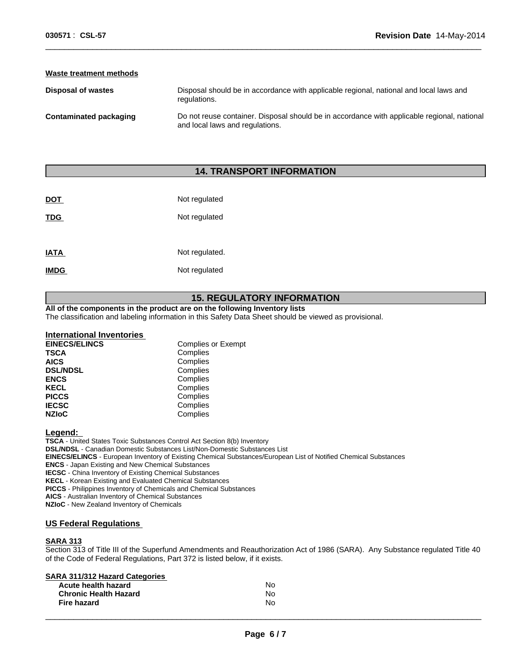# **Waste treatment methods**

| Disposal of wastes     | Disposal should be in accordance with applicable regional, national and local laws and<br>regulations.                         |
|------------------------|--------------------------------------------------------------------------------------------------------------------------------|
| Contaminated packaging | Do not reuse container. Disposal should be in accordance with applicable regional, national<br>and local laws and regulations. |

 $\overline{\phantom{a}}$  ,  $\overline{\phantom{a}}$  ,  $\overline{\phantom{a}}$  ,  $\overline{\phantom{a}}$  ,  $\overline{\phantom{a}}$  ,  $\overline{\phantom{a}}$  ,  $\overline{\phantom{a}}$  ,  $\overline{\phantom{a}}$  ,  $\overline{\phantom{a}}$  ,  $\overline{\phantom{a}}$  ,  $\overline{\phantom{a}}$  ,  $\overline{\phantom{a}}$  ,  $\overline{\phantom{a}}$  ,  $\overline{\phantom{a}}$  ,  $\overline{\phantom{a}}$  ,  $\overline{\phantom{a}}$ 

# **14. TRANSPORT INFORMATION**

| <b>DOT</b>  | Not regulated  |
|-------------|----------------|
| <b>TDG</b>  | Not regulated  |
|             |                |
| <b>IATA</b> | Not regulated. |
| <b>IMDG</b> | Not regulated  |
|             |                |

# **15. REGULATORY INFORMATION**

# **All of the components in the product are on the following Inventory lists**

The classification and labeling information in this Safety Data Sheet should be viewed as provisional.

| International Inventories |                           |
|---------------------------|---------------------------|
| <b>EINECS/ELINCS</b>      | <b>Complies or Exempt</b> |
| <b>TSCA</b>               | Complies                  |
| <b>AICS</b>               | Complies                  |
| <b>DSL/NDSL</b>           | Complies                  |
| <b>ENCS</b>               | Complies                  |
| <b>KECL</b>               | Complies                  |
| <b>PICCS</b>              | Complies                  |
| <b>IECSC</b>              | Complies                  |
| <b>NZIoC</b>              | Complies                  |

#### **Legend:**

**TSCA** - United States Toxic Substances Control Act Section 8(b) Inventory **DSL/NDSL** - Canadian Domestic Substances List/Non-Domestic Substances List **EINECS/ELINCS** - European Inventory of Existing Chemical Substances/European List of Notified Chemical Substances **ENCS** - Japan Existing and New Chemical Substances **IECSC** - China Inventory of Existing Chemical Substances **KECL** - Korean Existing and Evaluated Chemical Substances **PICCS** - Philippines Inventory of Chemicals and Chemical Substances

**AICS** - Australian Inventory of Chemical Substances

**NZIoC** - New Zealand Inventory of Chemicals

#### **US Federal Regulations**

# **SARA 313**

Section 313 of Title III of the Superfund Amendments and Reauthorization Act of 1986 (SARA). Any Substance regulated Title 40 of the Code of Federal Regulations, Part 372 is listed below, if it exists.

# **SARA 311/312 Hazard Categories**

| __<br>Acute health hazard    | <b>No</b>    |  |
|------------------------------|--------------|--|
| <b>Chronic Health Hazard</b> | No           |  |
| <b>Fire hazard</b>           | No<br>$\sim$ |  |
|                              |              |  |
|                              |              |  |